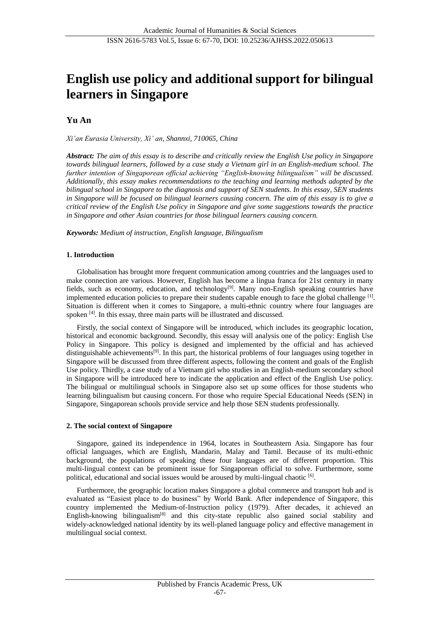# **English use policy and additional support for bilingual learners in Singapore**

## **Yu An**

*Xi'an Eurasia University, Xi' an, Shannxi, 710065, China*

*Abstract: The aim of this essay is to describe and critically review the English Use policy in Singapore towards bilingual learners, followed by a case study a Vietnam girl in an English-medium school. The further intention of Singaporean official achieving "English-knowing bilingualism" will be discussed. Additionally, this essay makes recommendations to the teaching and learning methods adopted by the bilingual school in Singapore to the diagnosis and support of SEN students. In this essay, SEN students in Singapore will be focused on bilingual learners causing concern. The aim of this essay is to give a critical review of the English Use policy in Singapore and give some suggestions towards the practice in Singapore and other Asian countries for those bilingual learners causing concern.*

*Keywords: Medium of instruction, English language, Bilingualism*

## **1. Introduction**

Globalisation has brought more frequent communication among countries and the languages used to make connection are various. However, English has become a lingua franca for 21st century in many fields, such as economy, education, and technology<sup>[9]</sup>. Many non-English speaking countries have implemented education policies to prepare their students capable enough to face the global challenge  $^{[1]}$ . Situation is different when it comes to Singapore, a multi-ethnic country where four languages are spoken [4]. In this essay, three main parts will be illustrated and discussed.

Firstly, the social context of Singapore will be introduced, which includes its geographic location, historical and economic background. Secondly, this essay will analysis one of the policy: English Use Policy in Singapore. This policy is designed and implemented by the official and has achieved distinguishable achievements[9]. In this part, the historical problems of four languages using together in Singapore will be discussed from three different aspects, following the content and goals of the English Use policy. Thirdly, a case study of a Vietnam girl who studies in an English-medium secondary school in Singapore will be introduced here to indicate the application and effect of the English Use policy. The bilingual or multilingual schools in Singapore also set up some offices for those students who learning bilingualism but causing concern. For those who require Special Educational Needs (SEN) in Singapore, Singaporean schools provide service and help those SEN students professionally.

#### **2. The social context of Singapore**

Singapore, gained its independence in 1964, locates in Southeastern Asia. Singapore has four official languages, which are English, Mandarin, Malay and Tamil. Because of its multi-ethnic background, the populations of speaking these four languages are of different proportion. This multi-lingual context can be prominent issue for Singaporean official to solve. Furthermore, some political, educational and social issues would be aroused by multi-lingual chaotic [6].

Furthermore, the geographic location makes Singapore a global commerce and transport hub and is evaluated as "Easiest place to do business" by World Bank. After independence of Singapore, this country implemented the Medium-of-Instruction policy (1979). After decades, it achieved an English-knowing bilingualism<sup>[8]</sup> and this city-state republic also gained social stability and widely-acknowledged national identity by its well-planed language policy and effective management in multilingual social context.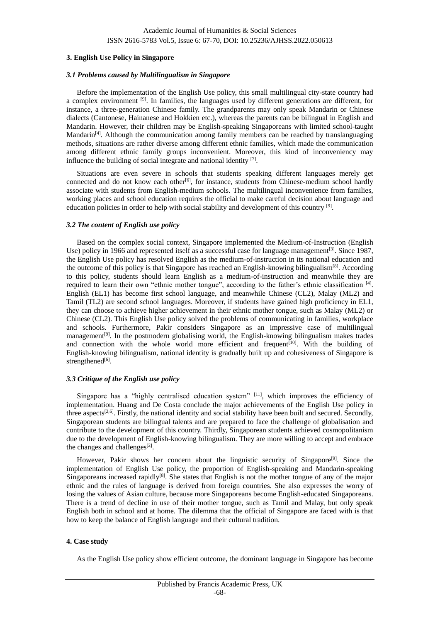## ISSN 2616-5783 Vol.5, Issue 6: 67-70, DOI: 10.25236/AJHSS.2022.050613

#### **3. English Use Policy in Singapore**

#### *3.1 Problems caused by Multilingualism in Singapore*

Before the implementation of the English Use policy, this small multilingual city-state country had a complex environment  $[9]$ . In families, the languages used by different generations are different, for instance, a three-generation Chinese family. The grandparents may only speak Mandarin or Chinese dialects (Cantonese, Hainanese and Hokkien etc.), whereas the parents can be bilingual in English and Mandarin. However, their children may be English-speaking Singaporeans with limited school-taught Mandarin<sup>[4]</sup>. Although the communication among family members can be reached by translanguaging methods, situations are rather diverse among different ethnic families, which made the communication among different ethnic family groups inconvenient. Moreover, this kind of inconveniency may influence the building of social integrate and national identity [7].

Situations are even severe in schools that students speaking different languages merely get connected and do not know each other<sup>[6]</sup>, for instance, students from Chinese-medium school hardly associate with students from English-medium schools. The multilingual inconvenience from families, working places and school education requires the official to make careful decision about language and education policies in order to help with social stability and development of this country <sup>[9]</sup>.

#### *3.2 The content of English use policy*

Based on the complex social context, Singapore implemented the Medium-of-Instruction (English Use) policy in 1966 and represented itself as a successful case for language management<sup>[3]</sup>. Since 1987, the English Use policy has resolved English as the medium-of-instruction in its national education and the outcome of this policy is that Singapore has reached an English-knowing bilingualism $[8]$ . According to this policy, students should learn English as a medium-of-instruction and meanwhile they are required to learn their own "ethnic mother tongue", according to the father's ethnic classification [4]. English (EL1) has become first school language, and meanwhile Chinese (CL2), Malay (ML2) and Tamil (TL2) are second school languages. Moreover, if students have gained high proficiency in EL1, they can choose to achieve higher achievement in their ethnic mother tongue, such as Malay (ML2) or Chinese (CL2). This English Use policy solved the problems of communicating in families, workplace and schools. Furthermore, Pakir considers Singapore as an impressive case of multilingual management<sup>[9]</sup>. In the postmodern globalising world, the English-knowing bilingualism makes trades and connection with the whole world more efficient and frequent<sup>[10]</sup>. With the building of English-knowing bilingualism, national identity is gradually built up and cohesiveness of Singapore is strengthened<sup>[6]</sup>.

#### *3.3 Critique of the English use policy*

Singapore has a "highly centralised education system" [11], which improves the efficiency of implementation. Huang and De Costa conclude the major achievements of the English Use policy in three aspects<sup>[2,6]</sup>. Firstly, the national identity and social stability have been built and secured. Secondly, Singaporean students are bilingual talents and are prepared to face the challenge of globalisation and contribute to the development of this country. Thirdly, Singaporean students achieved cosmopolitanism due to the development of English-knowing bilingualism. They are more willing to accept and embrace the changes and challenges $[2]$ .

However, Pakir shows her concern about the linguistic security of Singapore<sup>[9]</sup>. Since the implementation of English Use policy, the proportion of English-speaking and Mandarin-speaking Singaporeans increased rapidly<sup>[8]</sup>. She states that English is not the mother tongue of any of the major ethnic and the rules of language is derived from foreign countries. She also expresses the worry of losing the values of Asian culture, because more Singaporeans become English-educated Singaporeans. There is a trend of decline in use of their mother tongue, such as Tamil and Malay, but only speak English both in school and at home. The dilemma that the official of Singapore are faced with is that how to keep the balance of English language and their cultural tradition.

#### **4. Case study**

As the English Use policy show efficient outcome, the dominant language in Singapore has become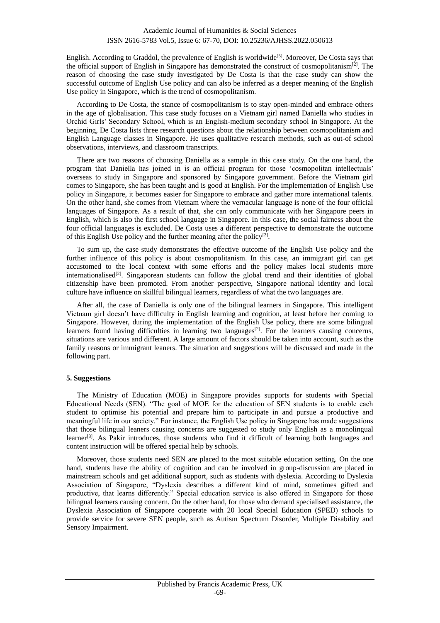English. According to Graddol, the prevalence of English is worldwide<sup>[5]</sup>. Moreover, De Costa says that the official support of English in Singapore has demonstrated the construct of cosmopolitanism<sup>[2]</sup>. The reason of choosing the case study investigated by De Costa is that the case study can show the successful outcome of English Use policy and can also be inferred as a deeper meaning of the English Use policy in Singapore, which is the trend of cosmopolitanism.

According to De Costa, the stance of cosmopolitanism is to stay open-minded and embrace others in the age of globalisation. This case study focuses on a Vietnam girl named Daniella who studies in Orchid Girls' Secondary School, which is an English-medium secondary school in Singapore. At the beginning, De Costa lists three research questions about the relationship between cosmopolitanism and English Language classes in Singapore. He uses qualitative research methods, such as out-of school observations, interviews, and classroom transcripts.

There are two reasons of choosing Daniella as a sample in this case study. On the one hand, the program that Daniella has joined in is an official program for those 'cosmopolitan intellectuals' overseas to study in Singapore and sponsored by Singapore government. Before the Vietnam girl comes to Singapore, she has been taught and is good at English. For the implementation of English Use policy in Singapore, it becomes easier for Singapore to embrace and gather more international talents. On the other hand, she comes from Vietnam where the vernacular language is none of the four official languages of Singapore. As a result of that, she can only communicate with her Singapore peers in English, which is also the first school language in Singapore. In this case, the social fairness about the four official languages is excluded. De Costa uses a different perspective to demonstrate the outcome of this English Use policy and the further meaning after the policy<sup>[2]</sup>.

To sum up, the case study demonstrates the effective outcome of the English Use policy and the further influence of this policy is about cosmopolitanism. In this case, an immigrant girl can get accustomed to the local context with some efforts and the policy makes local students more internationalised<sup>[2]</sup>. Singaporean students can follow the global trend and their identities of global citizenship have been promoted. From another perspective, Singapore national identity and local culture have influence on skillful bilingual learners, regardless of what the two languages are.

After all, the case of Daniella is only one of the bilingual learners in Singapore. This intelligent Vietnam girl doesn't have difficulty in English learning and cognition, at least before her coming to Singapore. However, during the implementation of the English Use policy, there are some bilingual learners found having difficulties in learning two languages $[2]$ . For the learners causing concerns, situations are various and different. A large amount of factors should be taken into account, such as the family reasons or immigrant leaners. The situation and suggestions will be discussed and made in the following part.

#### **5. Suggestions**

The Ministry of Education (MOE) in Singapore provides supports for students with Special Educational Needs (SEN). "The goal of MOE for the education of SEN students is to enable each student to optimise his potential and prepare him to participate in and pursue a productive and meaningful life in our society." For instance, the English Use policy in Singapore has made suggestions that those bilingual leaners causing concerns are suggested to study only English as a monolingual learner<sup>[3]</sup>. As Pakir introduces, those students who find it difficult of learning both languages and content instruction will be offered special help by schools.

Moreover, those students need SEN are placed to the most suitable education setting. On the one hand, students have the ability of cognition and can be involved in group-discussion are placed in mainstream schools and get additional support, such as students with dyslexia. According to Dyslexia Association of Singapore, "Dyslexia describes a different kind of mind, sometimes gifted and productive, that learns differently." Special education service is also offered in Singapore for those bilingual learners causing concern. On the other hand, for those who demand specialised assistance, the Dyslexia Association of Singapore cooperate with 20 local Special Education (SPED) schools to provide service for severe SEN people, such as Autism Spectrum Disorder, Multiple Disability and Sensory Impairment.